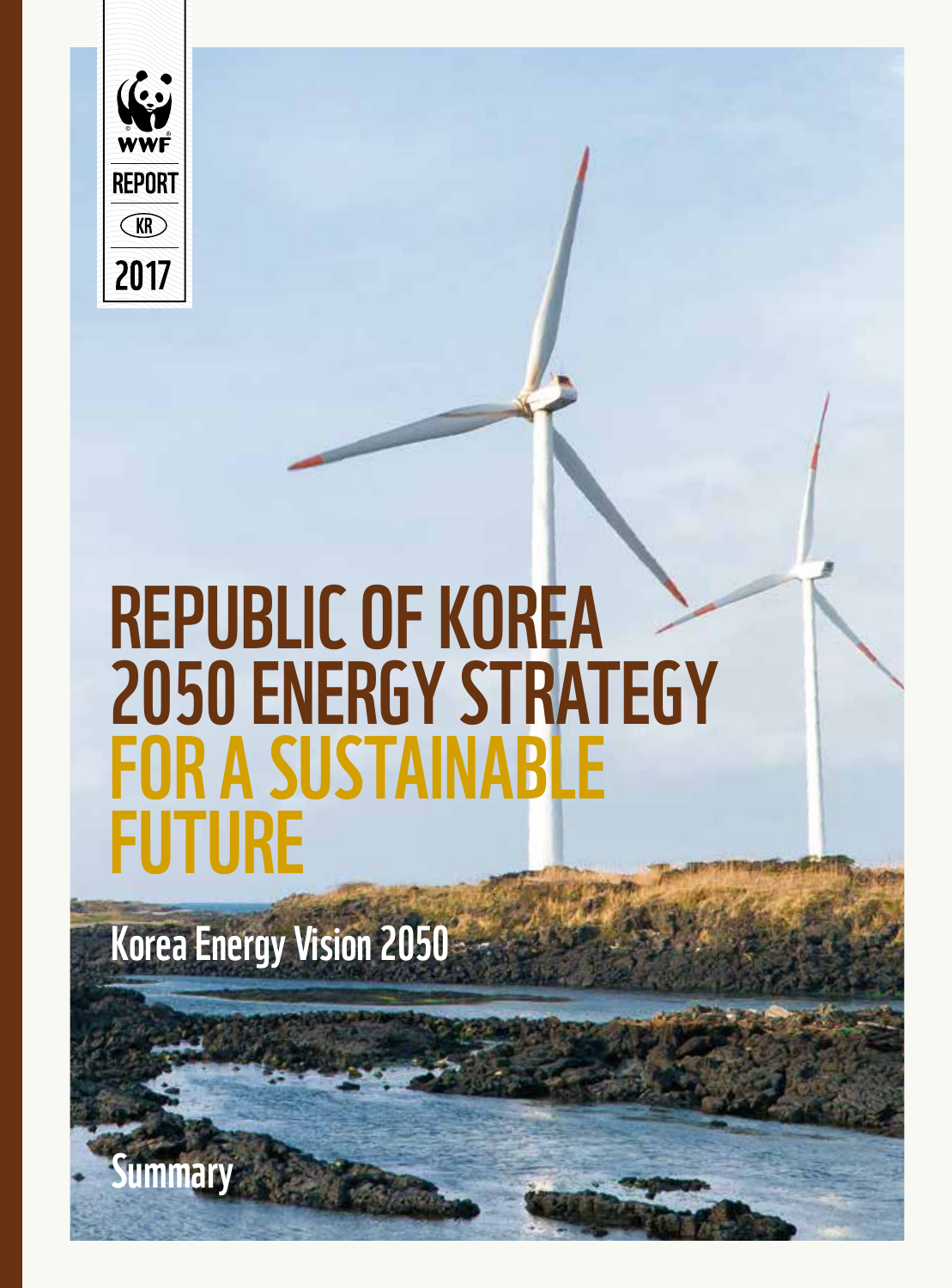

# Republic of Korea 2050 ENERGY STRATEGY FOR A SUSTAINABLE **FUTURE**

Korea Energy Vision 2050

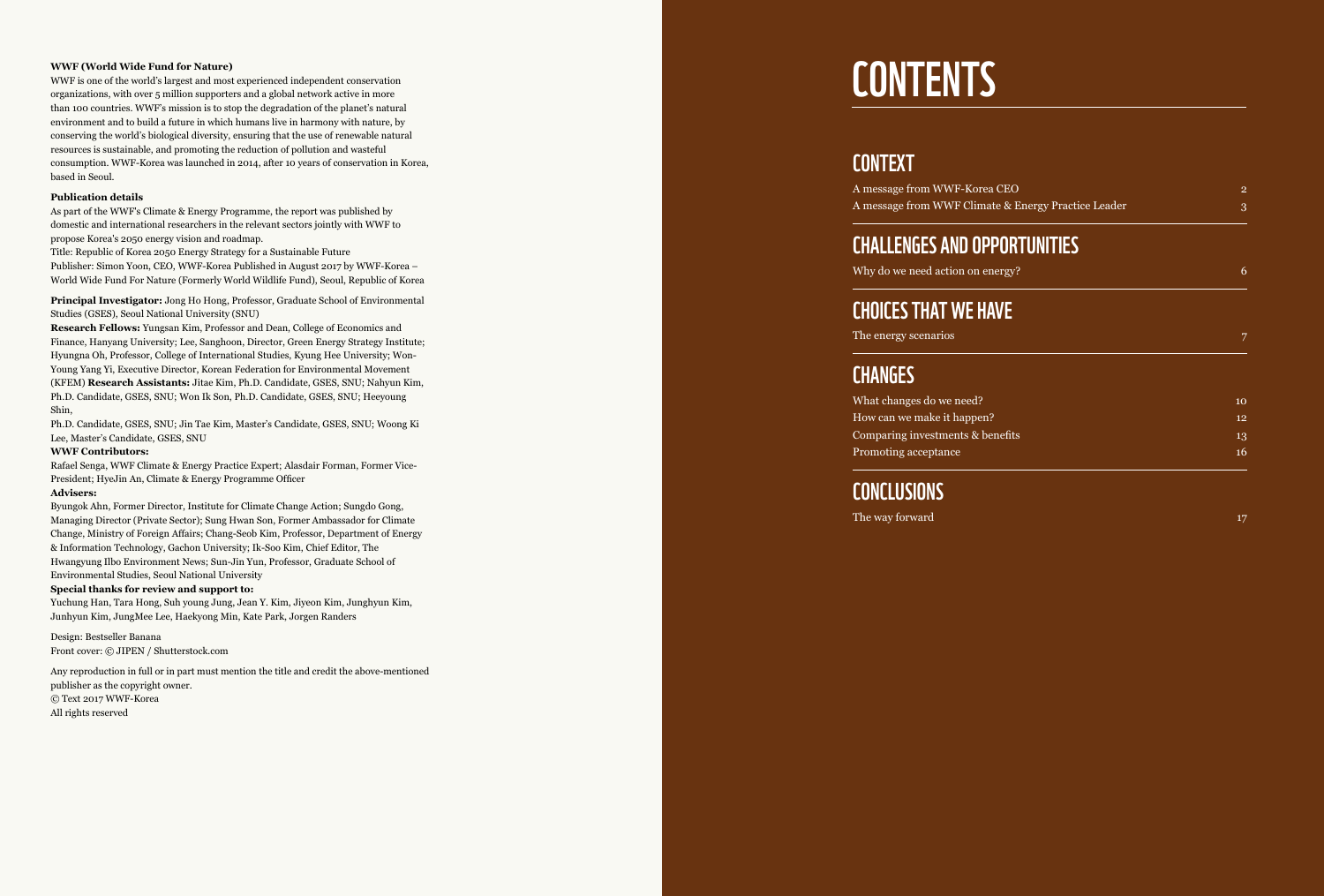#### **WWF (World Wide Fund for Nature)**

WWF is one of the world's largest and most experienced independent conservation organizations, with over 5 million supporters and a global network active in more than 100 countries. WWF's mission is to stop the degradation of the planet's natural environment and to build a future in which humans live in harmony with nature, by conserving the world's biological diversity, ensuring that the use of renewable natural resources is sustainable, and promoting the reduction of pollution and wasteful consumption. WWF-Korea was launched in 2014, after 10 years of conservation in Korea, based in Seoul.

#### **Publication details**

As part of the WWF's Climate & Energy Programme, the report was published by domestic and international researchers in the relevant sectors jointly with WWF to propose Korea's 2050 energy vision and roadmap.

Title: Republic of Korea 2050 Energy Strategy for a Sustainable Future Publisher: Simon Yoon, CEO, WWF-Korea Published in August 2017 by WWF-Korea – World Wide Fund For Nature (Formerly World Wildlife Fund), Seoul, Republic of Korea

**Principal Investigator:** Jong Ho Hong, Professor, Graduate School of Environmental Studies (GSES), Seoul National University (SNU)

**Research Fellows:** Yungsan Kim, Professor and Dean, College of Economics and Finance, Hanyang University; Lee, Sanghoon, Director, Green Energy Strategy Institute; Hyungna Oh, Professor, College of International Studies, Kyung Hee University; Won-Young Yang Yi, Executive Director, Korean Federation for Environmental Movement (KFEM) **Research Assistants:** Jitae Kim, Ph.D. Candidate, GSES, SNU; Nahyun Kim, Ph.D. Candidate, GSES, SNU; Won Ik Son, Ph.D. Candidate, GSES, SNU; Heeyoung Shin,

Ph.D. Candidate, GSES, SNU; Jin Tae Kim, Master's Candidate, GSES, SNU; Woong Ki Lee, Master's Candidate, GSES, SNU

#### **WWF Contributors:**

Rafael Senga, WWF Climate & Energy Practice Expert; Alasdair Forman, Former Vice-President; HyeJin An, Climate & Energy Programme Officer

#### **Advisers:**

Byungok Ahn, Former Director, Institute for Climate Change Action; Sungdo Gong, Managing Director (Private Sector); Sung Hwan Son, Former Ambassador for Climate Change, Ministry of Foreign Affairs; Chang-Seob Kim, Professor, Department of Energy & Information Technology, Gachon University; Ik-Soo Kim, Chief Editor, The Hwangyung Ilbo Environment News; Sun-Jin Yun, Professor, Graduate School of Environmental Studies, Seoul National University

#### **Special thanks for review and support to:**

Yuchung Han, Tara Hong, Suh young Jung, Jean Y. Kim, Jiyeon Kim, Junghyun Kim, Junhyun Kim, JungMee Lee, Haekyong Min, Kate Park, Jorgen Randers

Design: Bestseller Banana Front cover: © JIPEN / Shutterstock.com

Any reproduction in full or in part must mention the title and credit the above-mentioned publisher as the copyright owner. © Text 2017 WWF-Korea All rights reserved

## **CONTENTS**

#### **CONTEXT**

| A message from WWF-Korea CEO                        |  |
|-----------------------------------------------------|--|
| A message from WWF Climate & Energy Practice Leader |  |

#### C HALLENGES AND OPPO RTUNITIE S

| Why do we need action on energy? |  |
|----------------------------------|--|
|                                  |  |

#### CHOICES THAT WE HAVE

| The energy scenarios |  |  |  |  |
|----------------------|--|--|--|--|
|----------------------|--|--|--|--|

#### **CHANGES**

| 10 |
|----|
| 12 |
| 13 |
| 16 |
|    |

#### **CONCLUSIONS**

The way forward 17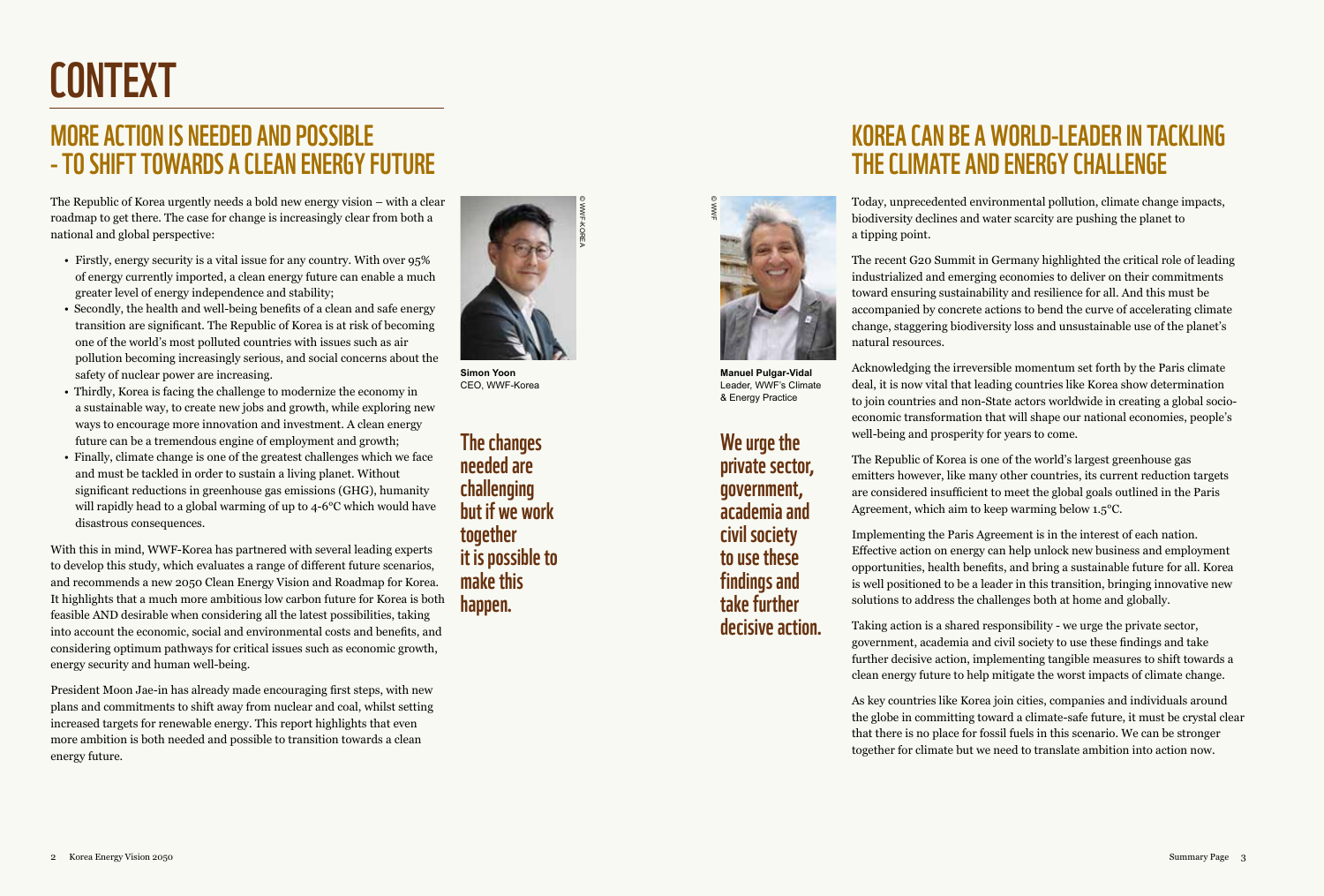# **CONTEXT**

#### More action is needed and possible - to shift towards a clean energy future

The Republic of Korea urgently needs a bold new energy vision – with a clear roadmap to get there. The case for change is increasingly clear from both a national and global perspective:

- Firstly, energy security is a vital issue for any country. With over 95% of energy currently imported, a clean energy future can enable a much greater level of energy independence and stability;
- Secondly, the health and well-being benefits of a clean and safe energy transition are significant. The Republic of Korea is at risk of becoming one of the world's most polluted countries with issues such as air pollution becoming increasingly serious, and social concerns about the safety of nuclear power are increasing.
- Thirdly, Korea is facing the challenge to modernize the economy in a sustainable way, to create new jobs and growth, while exploring new ways to encourage more innovation and investment. A clean energy future can be a tremendous engine of employment and growth;
- Finally, climate change is one of the greatest challenges which we face and must be tackled in order to sustain a living planet. Without significant reductions in greenhouse gas emissions (GHG), humanity will rapidly head to a global warming of up to 4-6°C which would have disastrous consequences.

With this in mind, WWF-Korea has partnered with several leading experts to develop this study, which evaluates a range of different future scenarios, and recommends a new 2050 Clean Energy Vision and Roadmap for Korea. It highlights that a much more ambitious low carbon future for Korea is both feasible AND desirable when considering all the latest possibilities, taking into account the economic, social and environmental costs and benefits, and considering optimum pathways for critical issues such as economic growth, energy security and human well-being.

President Moon Jae-in has already made encouraging first steps, with new plans and commitments to shift away from nuclear and coal, whilst setting increased targets for renewable energy. This report highlights that even more ambition is both needed and possible to transition towards a clean energy future.



**Simon Yoon** CEO, WWF-Korea

The changes needed are challenging but if we work together it is possible to make this happen.



**Manuel Pulgar-Vidal** Leader, WWF's Climate & Energy Practice

We urge the private sector, government, academia and civil society to use these findings and take further decisive action.

#### Korea can be a world-leader in tackling the climate and energy challenge

Today, unprecedented environmental pollution, climate change impacts, biodiversity declines and water scarcity are pushing the planet to a tipping point.

The recent G20 Summit in Germany highlighted the critical role of leading industrialized and emerging economies to deliver on their commitments toward ensuring sustainability and resilience for all. And this must be accompanied by concrete actions to bend the curve of accelerating climate change, staggering biodiversity loss and unsustainable use of the planet's natural resources.

Acknowledging the irreversible momentum set forth by the Paris climate deal, it is now vital that leading countries like Korea show determination to join countries and non-State actors worldwide in creating a global socioeconomic transformation that will shape our national economies, people's well-being and prosperity for years to come.

The Republic of Korea is one of the world's largest greenhouse gas emitters however, like many other countries, its current reduction targets are considered insufficient to meet the global goals outlined in the Paris Agreement, which aim to keep warming below 1.5°C.

Implementing the Paris Agreement is in the interest of each nation. Effective action on energy can help unlock new business and employment opportunities, health benefits, and bring a sustainable future for all. Korea is well positioned to be a leader in this transition, bringing innovative new solutions to address the challenges both at home and globally.

Taking action is a shared responsibility - we urge the private sector, government, academia and civil society to use these findings and take further decisive action, implementing tangible measures to shift towards a clean energy future to help mitigate the worst impacts of climate change.

As key countries like Korea join cities, companies and individuals around the globe in committing toward a climate-safe future, it must be crystal clear that there is no place for fossil fuels in this scenario. We can be stronger together for climate but we need to translate ambition into action now.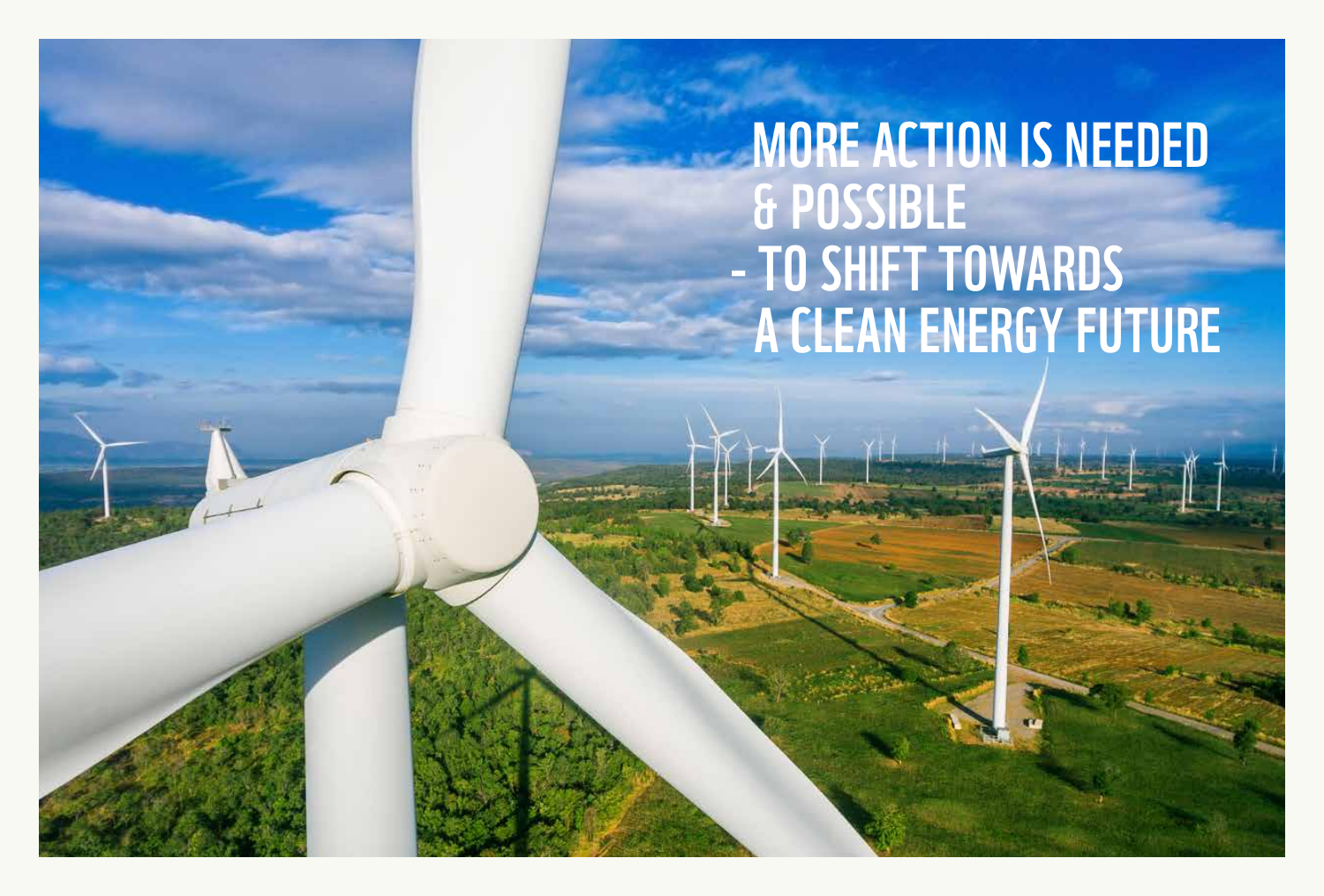# **MORE ACTION IS NEEDED**  & possible - TO SHIFT TOWAR a clean energy future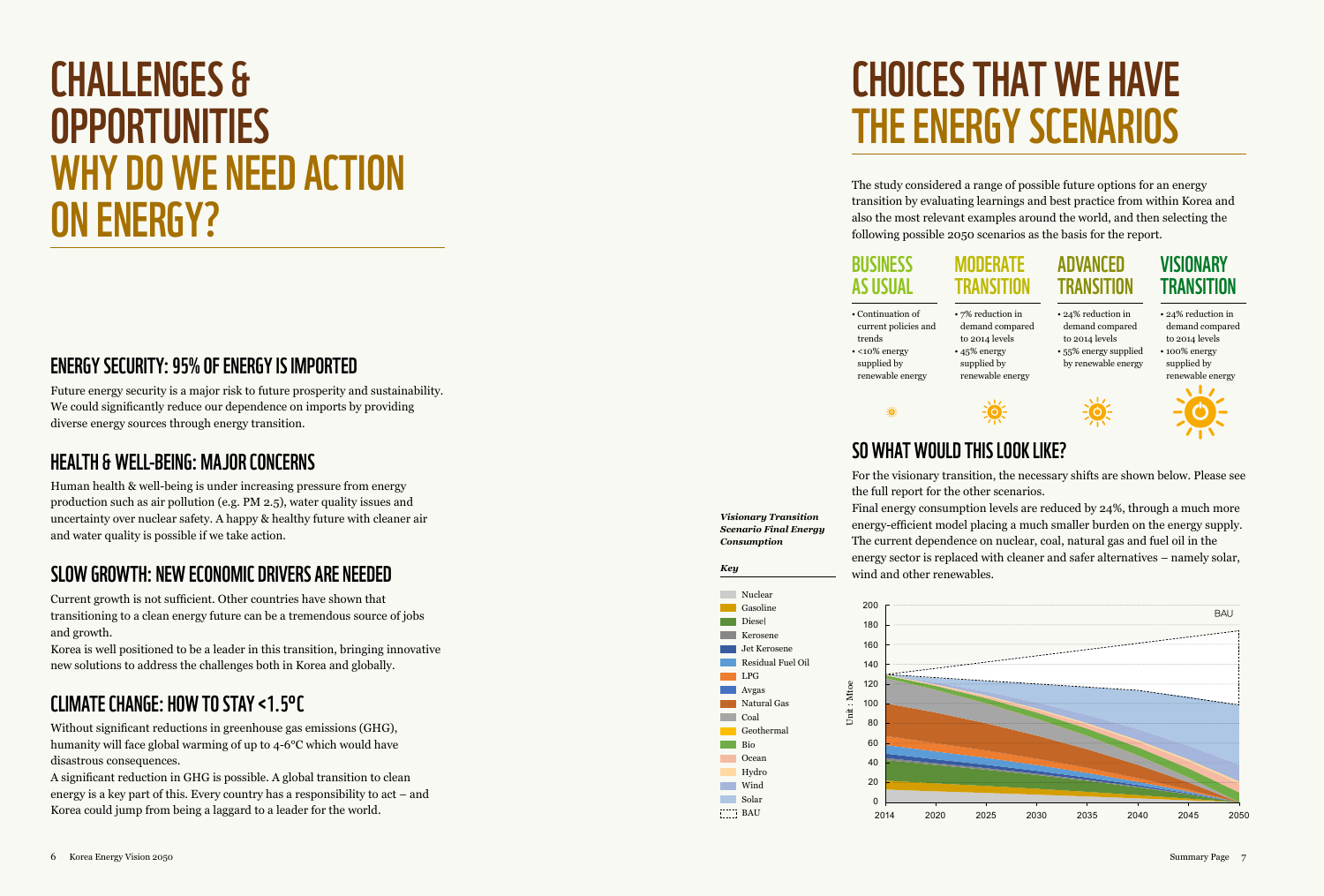## C HALLENGES & **OPPORT** WHY DO WE NEED ACTION ON ENERGY?

#### ENERGY SECURITY: 95% OF ENERGY IS IMPORTED I

Future energy security is a major risk to future prosperity and sustainability. We could significantly reduce our dependence on imports by providing diverse energy sources through energy transition.

#### HEALTH & WELL-BEING: MAJOR CONCERN S

Human health & well-being is under increasing pressure from energy production such as air pollution (e.g. PM 2.5), water quality issues and uncertainty over nuclear safety. A happy & healthy future with cleaner air and water quality is possible if we take action.

#### SLOW GROWTH: NEW ECONOMIC DRIVERS ARE NEEDED

Current growth is not sufficient. Other countries have shown that transitioning to a clean energy future can be a tremendous source of jobs and growth.

Korea is well positioned to be a leader in this transition, bringing innovative new solutions to address the challenges both in Korea and globally.

#### CLI MATE C HANGE: H OW TO STAY <1.5° C

Without significant reductions in greenhouse gas emissions (GHG), humanity will face global warming of up to 4-6°C which would have disastrous consequences.

A significant reduction in GHG is possible. A global transition to clean energy is a key part of this. Every country has a responsibility to act – and Korea could jump from being a laggard to a leader for the world.

# CHOICES THAT WE HAVE THE ENERGY SCENARIOS

The study considered a range of possible future options for an energy transition by evaluating learnings and best practice from within Korea and also the most relevant examples around the world, and then selecting the following possible 2050 scenarios as the basis for the report.

#### Business as Usual **MODERATE TRANSITION**

#### **ADVANCED TRANSITION**

**VISIONARY TRANSITION** 

• Continuation of current policies and trends • <10% energy supplied by renewable energy

• 7% reduction in demand compared to 2014 levels • 45% energy supplied by renewable energy

**EQE** 

• 24% reduction in demand compared to 2014 levels • 55% energy supplied by renewable energy • 24% reduction in demand compared to 2014 levels • 100% energy supplied by renewable energy



#### SO WHAT WOULD THIS LOOK LIKE?

For the visionary transition, the necessary shifts are shown below. Please see the full report for the other scenarios.

OF.

*Visionary Transition Scenario Final Energy Consumption* 

 $\Box$  Bio

Final energy consumption levels are reduced by 24%, through a much more energy-efficient model placing a much smaller burden on the energy supply. The current dependence on nuclear, coal, natural gas and fuel oil in the energy sector is replaced with cleaner and safer alternatives – namely solar, wind and other renewables. *Key*

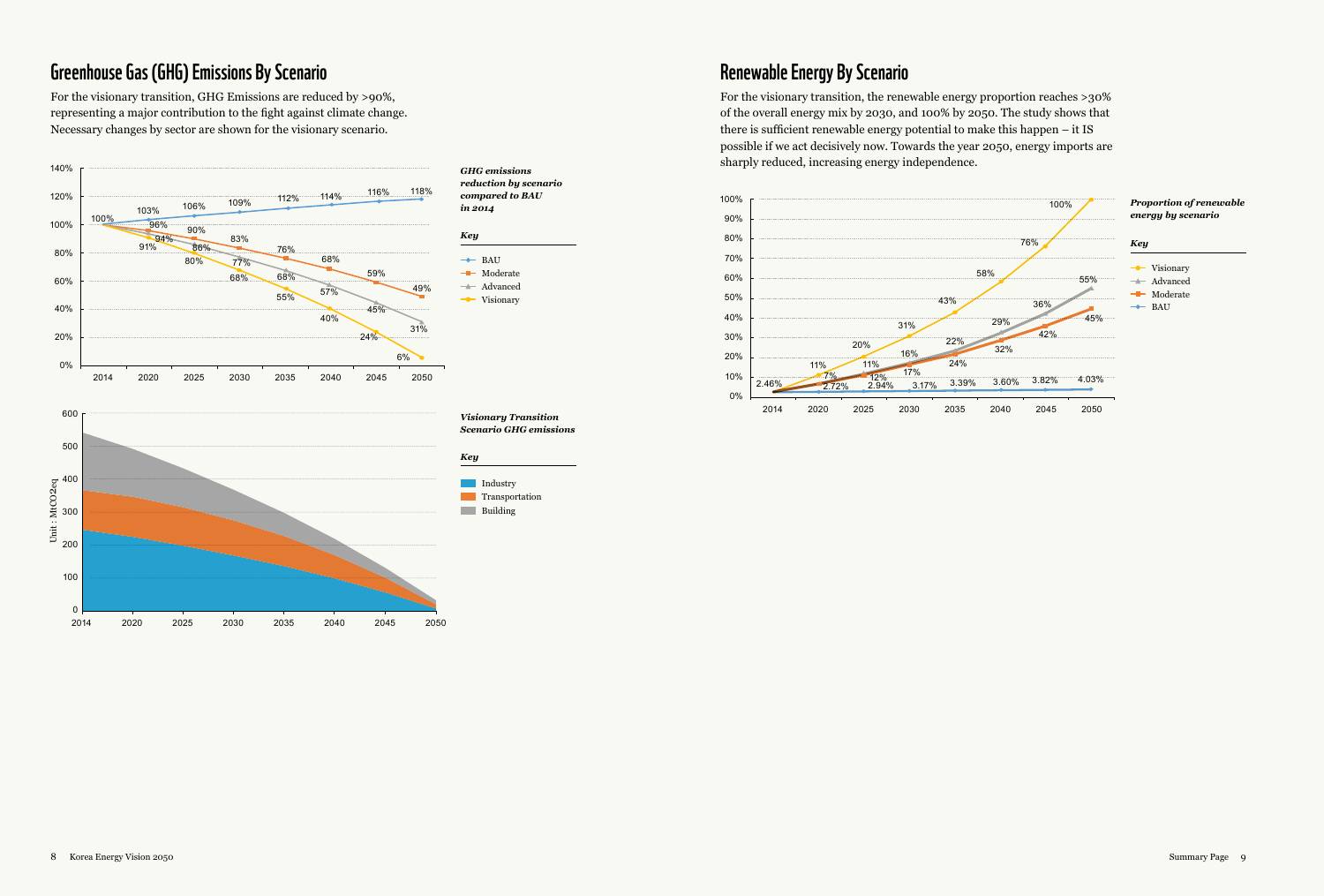#### Greenhouse Gas (GHG) Emissions By Scenario

For the visionary transition, GHG Emissions are reduced by >90%, representing a major contribution to the fight against climate change. Necessary changes by sector are shown for the visionary scenario.



2014 2020 2025 2030 2035 2040 2045 2050



#### Renewable Energy By Scenario

For the visionary transition, the renewable energy proportion reaches >30% of the overall energy mix by 2030, and 100% by 2050. The study shows that there is sufficient renewable energy potential to make this happen – it IS possible if we act decisively now. Towards the year 2050, energy imports are sharply reduced, increasing energy independence.



#### *Visionary Transition Scenario GHG emissions*

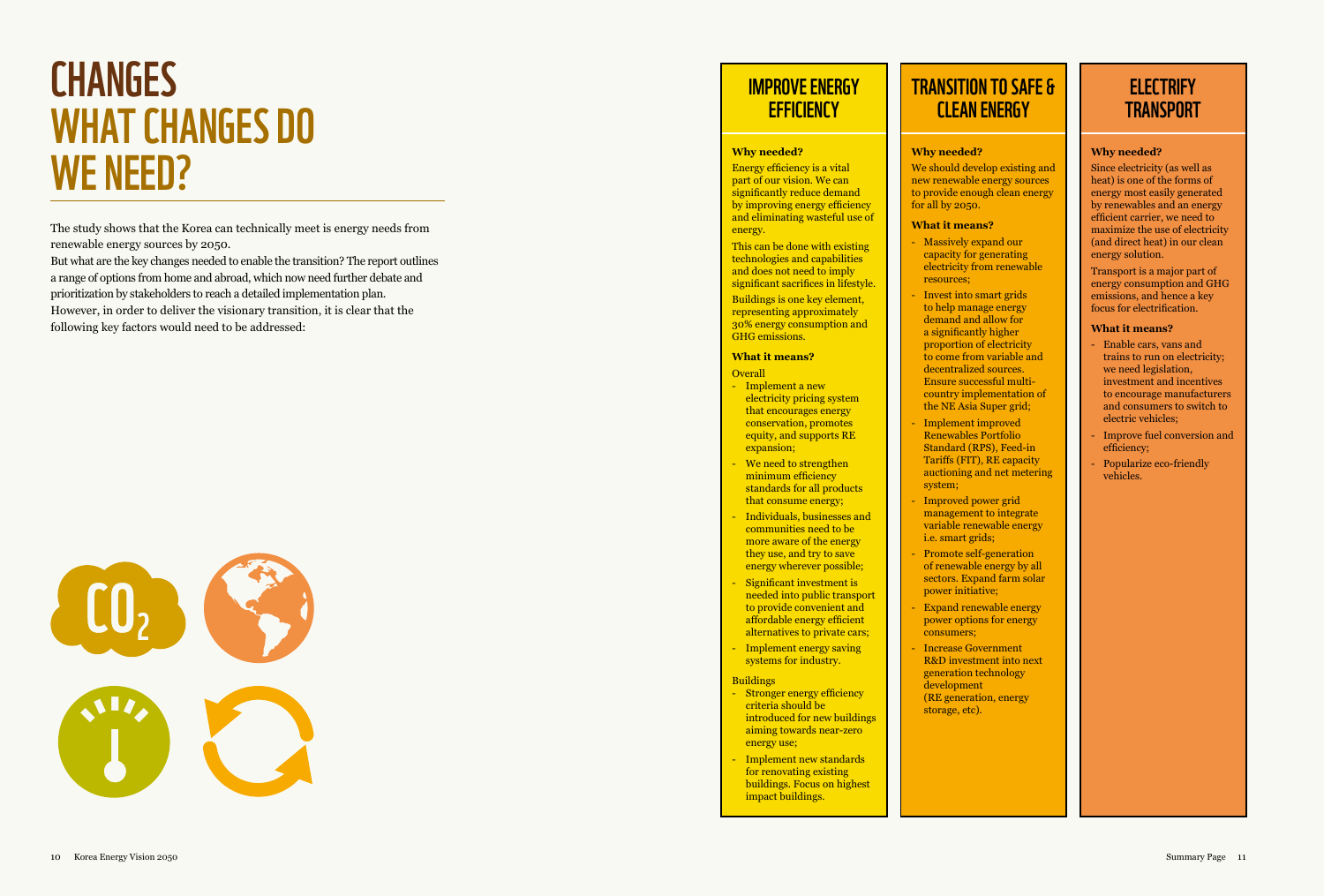# CHANGES<br>WHAT CHANGES DO<br>WE NEED?

The study shows that the Korea can technically meet is energy needs from renewable energy sources by 2050.

But what are the key changes needed to enable the transition? The report outlines a range of options from home and abroad, which now need further debate and prioritization by stakeholders to reach a detailed implementation plan. However, in order to deliver the visionary transition, it is clear that the following key factors would need to be addressed:



#### IMPROVE ENERGY **EFFICIENCY**

#### **Why needed?**

Energy efficiency is a vital part of our vision. We can significantly reduce demand by improving energy efficiency and eliminating wasteful use of energy.

This can be done with existing technologies and capabilities and does not need to imply significant sacrifices in lifestyle.

Buildings is one key element, representing approximately 30% energy consumption and GHG emissions.

#### **What it means?**

#### **Overall**

- Implement a new electricity pricing system that encourages energy conservation, promotes equity, and supports RE expansion;
- We need to strengthen minimum efficiency standards for all products that consume energy;
- Individuals, businesses and communities need to be more aware of the energy they use, and try to save energy wherever possible;
- Significant investment is needed into public transport to provide convenient and affordable energy efficient alternatives to private cars;
- Implement energy saving systems for industry.

#### **Buildings**

- Stronger energy efficiency criteria should be introduced for new buildings aiming towards near-zero energy use;
- Implement new standards for renovating existing buildings. Focus on highest impact buildings.

#### TRANSITION TO SAFE & **CLEAN ENERGY**

#### **Why needed?**

We should develop existing and new renewable energy sources to provide enough clean energy for all by 2050.

#### **What it means?**

- Massively expand our capacity for generating electricity from renewable resources;
- Invest into smart grids to help manage energy demand and allow for a significantly higher proportion of electricity to come from variable and decentralized sources. Ensure successful multicountry implementation of
- Implement improved Renewables Portfolio Standard (RPS), Feed-in Tariffs (FIT), RE capacity auctioning and net metering system;

the NE Asia Super grid;

- Improved power grid management to integrate variable renewable energy i.e. smart grids;
- Promote self-generation of renewable energy by all sectors. Expand farm solar power initiative;
- Expand renewable energy power options for energy consumers;
- Increase Government R&D investment into next generation technology development (RE generation, energy storage, etc).

#### **ELECTRIFY TRANSPORT**

#### **Why needed?**

Since electricity (as well as heat) is one of the forms of energy most easily generated by renewables and an energy efficient carrier, we need to maximize the use of electricity (and direct heat) in our clean energy solution.

Transport is a major part of energy consumption and GHG emissions, and hence a key focus for electrification.

#### **What it means?**

- Enable cars, vans and trains to run on electricity; we need legislation, investment and incentives to encourage manufacturers and consumers to switch to electric vehicles;
- Improve fuel conversion and efficiency;
- Popularize eco-friendly vehicles.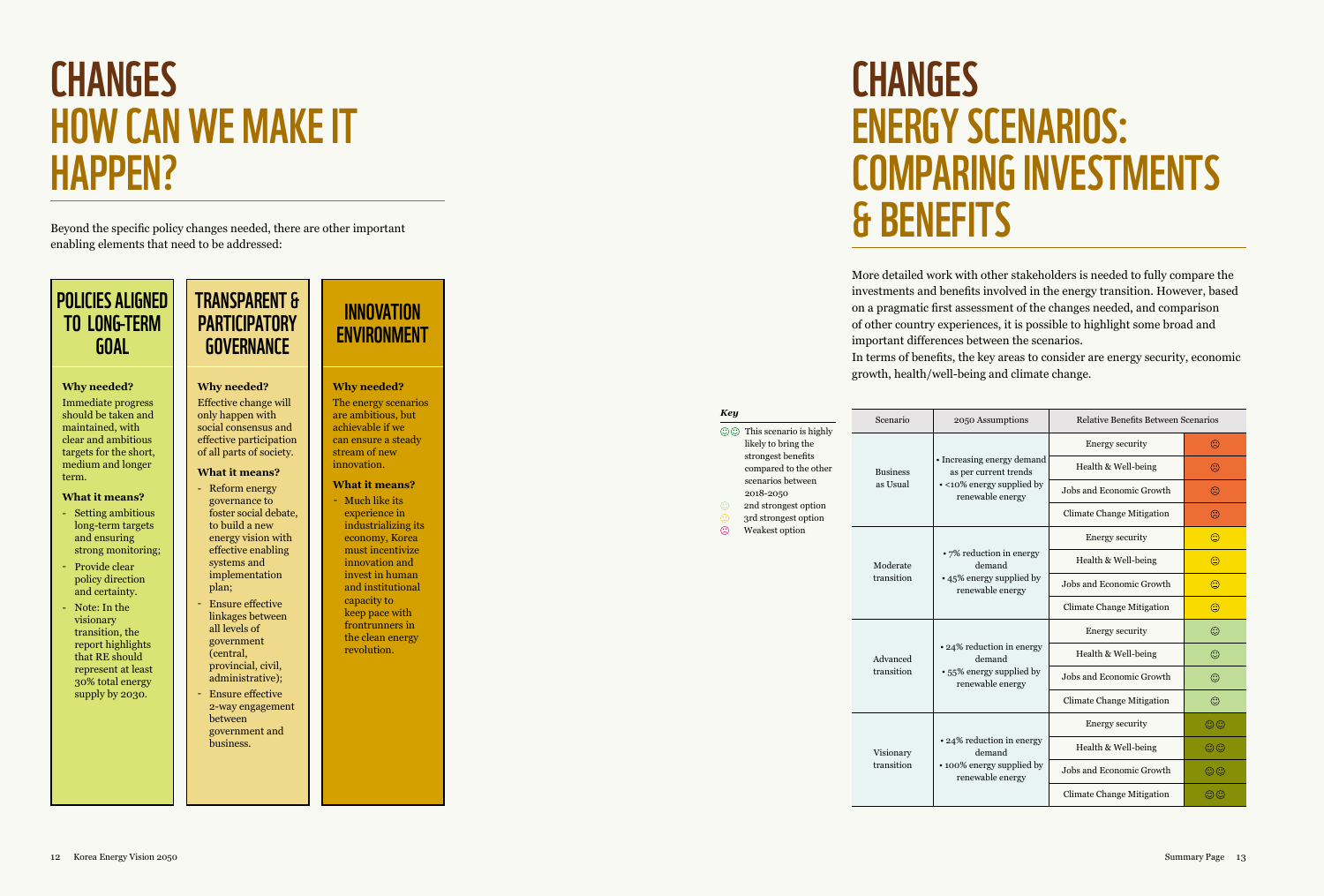# **CHANGES<br>HOW CAN WE MAKE IT** HAPPEN?

Beyond the specific policy changes needed, there are other important enabling elements that need to be addressed:

#### POLICIES ALIGNED TO LONG-T ERM G O A L

#### **Why needed?**

Immediate progress should be taken and maintained, with clear and ambitious targets for the short, medium and longer term.

#### **What it means?**

- Setting ambitious long-term targets and ensuring strong monitoring;
- Provide clear policy direction and certainty.
- Note: In the visionary transition, the report highlights that RE should represent at least 30% total energy supply by 2030.

#### TRANSPARENT & **PARTICIPATORY GOVERNANCE**

#### **Why needed?**

Effective change will only happen with social consensus and effective participation of all parts of society.

#### **What it means?** Reform energy

governance to foster social debate, to build a new energy vision with effective enabling systems and implementation plan; Ensure effective

- linkages between all levels of government provincial, civil,
- administrative); Ensure effective 2-way engagement between government and business.

(central,

---

#### **INNOVATION ENVIRONMENT**

**Why needed?** The energy scenarios are ambitious, but achievable if we can ensure a steady stream of new innovation.

#### **What it means?**

- Much like its experience in industrializing its economy, Korea

# capacity to

- keep pace with frontrunners in the clean energy revolution.
- must incentivize innovation and invest in human and institutional
	-

#### More detailed work with other stakeholders is needed to fully compare the investments and benefits involved in the energy transition. However, based on a pragmatic first assessment of the changes needed, and comparison of other country experiences, it is possible to highlight some broad and important differences between the scenarios.

In terms of benefits, the key areas to consider are energy security, economic growth, health/well-being and climate change.

| Key                 |                                                | Scenario                                                                           | 2050 Assumptions                                                                                     | Relative Benefits Between Scenarios |              |
|---------------------|------------------------------------------------|------------------------------------------------------------------------------------|------------------------------------------------------------------------------------------------------|-------------------------------------|--------------|
| ගග                  | This scenario is highly<br>likely to bring the |                                                                                    | • Increasing energy demand<br>as per current trends<br>• <10% energy supplied by<br>renewable energy | Energy security                     | $\odot$      |
|                     | strongest benefits<br>compared to the other    | <b>Business</b><br>as Usual                                                        |                                                                                                      | Health & Well-being                 | ☺            |
|                     | scenarios between<br>2018-2050                 |                                                                                    |                                                                                                      | Jobs and Economic Growth            | ☺            |
| ☺<br>☺              | 2nd strongest option<br>3rd strongest option   |                                                                                    |                                                                                                      | <b>Climate Change Mitigation</b>    | ☺            |
| ☺<br>Weakest option |                                                |                                                                                    |                                                                                                      | <b>Energy security</b>              | $\odot$      |
|                     | Moderate<br>transition                         | • 7% reduction in energy<br>demand<br>• 45% energy supplied by<br>renewable energy | Health & Well-being                                                                                  | ☺                                   |              |
|                     |                                                |                                                                                    | Jobs and Economic Growth                                                                             | ☺                                   |              |
|                     |                                                |                                                                                    |                                                                                                      | <b>Climate Change Mitigation</b>    | ☺            |
|                     |                                                |                                                                                    | • 24% reduction in energy<br>demand<br>• 55% energy supplied by<br>renewable energy                  | <b>Energy security</b>              | ☺            |
|                     |                                                | Advanced<br>transition                                                             |                                                                                                      | Health & Well-being                 | ☺            |
|                     |                                                |                                                                                    |                                                                                                      | Jobs and Economic Growth            | ☺            |
|                     |                                                |                                                                                    |                                                                                                      | <b>Climate Change Mitigation</b>    | ☺            |
|                     |                                                |                                                                                    | • 24% reduction in energy<br>demand<br>• 100% energy supplied by<br>renewable energy                 | Energy security                     | $\odot\odot$ |
|                     |                                                | Visionary<br>transition                                                            |                                                                                                      | Health & Well-being                 | $\odot$      |
|                     |                                                |                                                                                    |                                                                                                      | Jobs and Economic Growth            | $\odot$      |
|                     |                                                |                                                                                    |                                                                                                      | Climate Change Mitigation           | $\odot$ O    |

# CHANGES<br>ENERGY SCENARIOS: COMPARING INVESTMENTS & BENEFIT S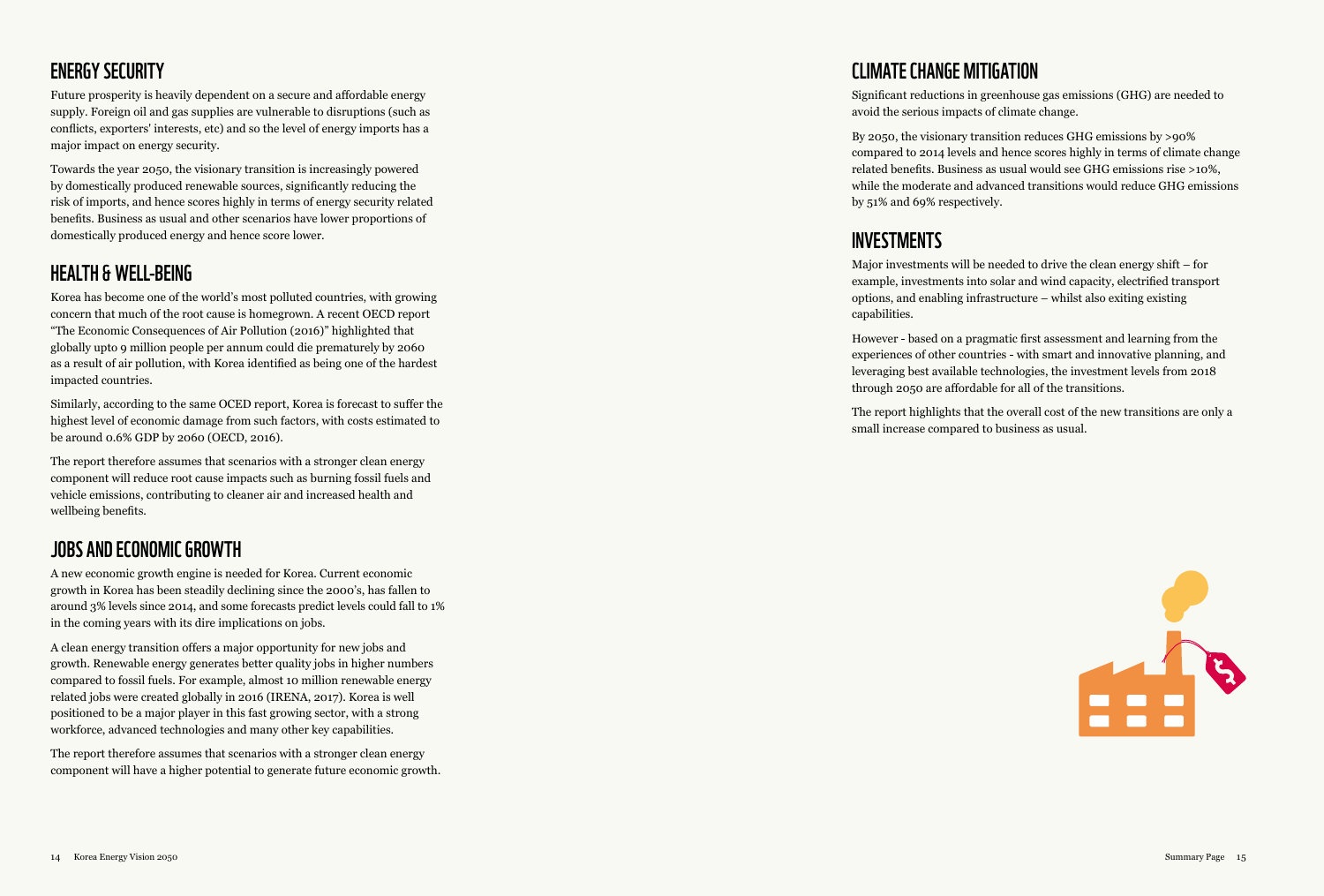#### ENERGY SECURITY

Future prosperity is heavily dependent on a secure and affordable energy supply. Foreign oil and gas supplies are vulnerable to disruptions (such as conflicts, exporters' interests, etc) and so the level of energy imports has a major impact on energy security.

Towards the year 2050, the visionary transition is increasingly powered by domestically produced renewable sources, significantly reducing the risk of imports, and hence scores highly in terms of energy security related benefits. Business as usual and other scenarios have lower proportions of domestically produced energy and hence score lower.

#### HEALTH & WELL-BEING

Korea has become one of the world's most polluted countries, with growing concern that much of the root cause is homegrown. A recent OECD report "The Economic Consequences of Air Pollution (2016)" highlighted that globally upto 9 million people per annum could die prematurely by 2060 as a result of air pollution, with Korea identified as being one of the hardest impacted countries.

Similarly, according to the same OCED report, Korea is forecast to suffer the highest level of economic damage from such factors, with costs estimated to be around 0.6% GDP by 2060 (OECD, 2016).

The report therefore assumes that scenarios with a stronger clean energy component will reduce root cause impacts such as burning fossil fuels and vehicle emissions, contributing to cleaner air and increased health and wellbeing benefits.

#### Jobs and Economic Growth

A new economic growth engine is needed for Korea. Current economic growth in Korea has been steadily declining since the 2000's, has fallen to around 3% levels since 2014, and some forecasts predict levels could fall to 1% in the coming years with its dire implications on jobs.

A clean energy transition offers a major opportunity for new jobs and growth. Renewable energy generates better quality jobs in higher numbers compared to fossil fuels. For example, almost 10 million renewable energy related jobs were created globally in 2016 (IRENA, 2017). Korea is well positioned to be a major player in this fast growing sector, with a strong workforce, advanced technologies and many other key capabilities.

The report therefore assumes that scenarios with a stronger clean energy component will have a higher potential to generate future economic growth.

#### Climate Change Mitigation

Significant reductions in greenhouse gas emissions (GHG) are needed to avoid the serious impacts of climate change.

By 2050, the visionary transition reduces GHG emissions by >90% compared to 2014 levels and hence scores highly in terms of climate change related benefits. Business as usual would see GHG emissions rise >10%, while the moderate and advanced transitions would reduce GHG emissions by 51% and 69% respectively.

#### INVESTMENTS

Major investments will be needed to drive the clean energy shift – for example, investments into solar and wind capacity, electrified transport options, and enabling infrastructure – whilst also exiting existing capabilities.

However - based on a pragmatic first assessment and learning from the experiences of other countries - with smart and innovative planning, and leveraging best available technologies, the investment levels from 2018 through 2050 are affordable for all of the transitions.

The report highlights that the overall cost of the new transitions are only a small increase compared to business as usual.

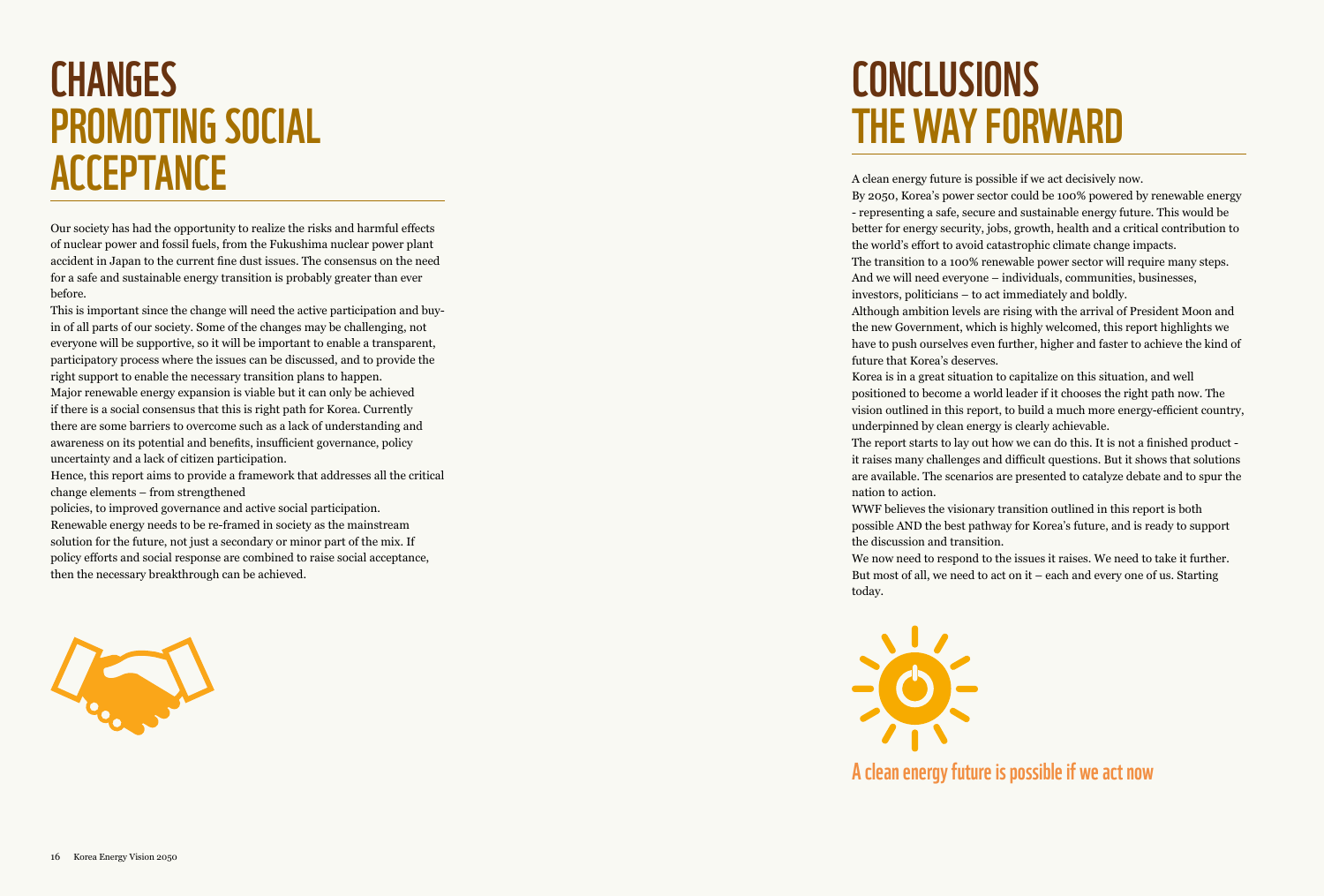# **CHANGES** PROMOTING SOCIAL **ACCEPTANCE**

Our society has had the opportunity to realize the risks and harmful effects of nuclear power and fossil fuels, from the Fukushima nuclear power plant accident in Japan to the current fine dust issues. The consensus on the need for a safe and sustainable energy transition is probably greater than ever before.

This is important since the change will need the active participation and buyin of all parts of our society. Some of the changes may be challenging, not everyone will be supportive, so it will be important to enable a transparent, participatory process where the issues can be discussed, and to provide the right support to enable the necessary transition plans to happen. Major renewable energy expansion is viable but it can only be achieved if there is a social consensus that this is right path for Korea. Currently there are some barriers to overcome such as a lack of understanding and awareness on its potential and benefits, insufficient governance, policy uncertainty and a lack of citizen participation.

Hence, this report aims to provide a framework that addresses all the critical change elements – from strengthened

policies, to improved governance and active social participation. Renewable energy needs to be re-framed in society as the mainstream solution for the future, not just a secondary or minor part of the mix. If policy efforts and social response are combined to raise social acceptance, then the necessary breakthrough can be achieved.



## Conclusions THE WAY FORWARD

A clean energy future is possible if we act decisively now.

By 2050, Korea's power sector could be 100% powered by renewable energy - representing a safe, secure and sustainable energy future. This would be better for energy security, jobs, growth, health and a critical contribution to the world's effort to avoid catastrophic climate change impacts. The transition to a 100% renewable power sector will require many steps.

And we will need everyone – individuals, communities, businesses, investors, politicians – to act immediately and boldly.

Although ambition levels are rising with the arrival of President Moon and the new Government, which is highly welcomed, this report highlights we have to push ourselves even further, higher and faster to achieve the kind of future that Korea's deserves.

Korea is in a great situation to capitalize on this situation, and well positioned to become a world leader if it chooses the right path now. The vision outlined in this report, to build a much more energy-efficient country, underpinned by clean energy is clearly achievable.

The report starts to lay out how we can do this. It is not a finished product it raises many challenges and difficult questions. But it shows that solutions are available. The scenarios are presented to catalyze debate and to spur the nation to action.

WWF believes the visionary transition outlined in this report is both possible AND the best pathway for Korea's future, and is ready to support the discussion and transition.

We now need to respond to the issues it raises. We need to take it further. But most of all, we need to act on it – each and every one of us. Starting today.



A clean energy future is possible if we act now